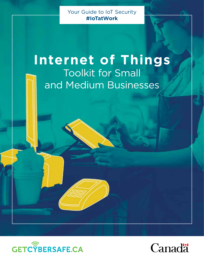Your Guide to IoT Security **#IoTatWork**

# **Internet of Things** Toolkit for Small and Medium Businesses



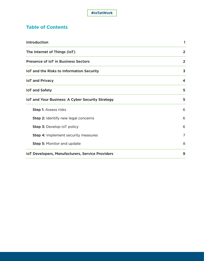# **Table of Contents**

| Introduction                                     | 1              |
|--------------------------------------------------|----------------|
| The Internet of Things (IoT)                     | $\mathbf{2}$   |
| <b>Presence of IoT in Business Sectors</b>       | $\overline{2}$ |
| IoT and the Risks to Information Security        | 3              |
| <b>IoT and Privacy</b>                           | 4              |
| <b>IoT and Safety</b>                            | 5              |
| IoT and Your Business: A Cyber Security Strategy | 5              |
| <b>Step 1: Assess risks</b>                      | 6              |
| Step 2: Identify new legal concerns              | 6              |
| Step 3: Develop IoT policy                       | 6              |
| Step 4: Implement security measures              | 7              |
| Step 5: Monitor and update                       | 8              |
| IoT Developers, Manufacturers, Service Providers | 9              |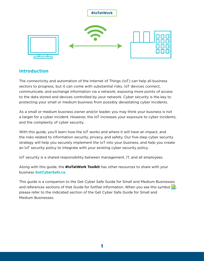

# **Introduction**

The connectivity and automation of the Internet of Things (IoT) can help all business sectors to progress, but it can come with substantial risks. IoT devices connect, communicate, and exchange information via a network, exposing more points of access to the data stored and devices controlled by your network. Cyber security is the key to protecting your small or medium business from possibly devastating cyber incidents.

As a small or medium business owner and/or leader, you may think your business is not a target for a cyber incident. However, the IoT increases your exposure to cyber incidents, and the complexity of cyber security.

With this guide, you'll learn how the IoT works and where it will have an impact, and the risks related to information security, privacy, and safety. Our five-step cyber security strategy will help you securely implement the IoT into your business, and help you create an IoT security policy to integrate with your existing cyber security policy.

IoT security is a shared responsibility between management, IT, and all employees.

Along with this guide, the **#IoTatWork Toolkit** has other resources to share with your business **GetCyberSafe.ca**.

This guide is a companion to the Get Cyber Safe Guide for Small and Medium Businesses and references sections of that Guide for further information. When you see this symbol  $\left| \right|$ , please refer to the indicated section of the Get Cyber Safe Guide for Small and Medium Businesses.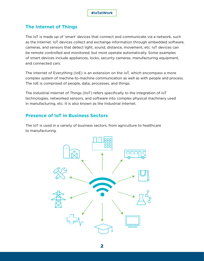## **The Internet of Things**

The IoT is made up of 'smart' devices that connect and communicate via a network, such as the Internet. IoT devices collect and exchange information through embedded software, cameras, and sensors that detect light, sound, distance, movement, etc. IoT devices can be remote controlled and monitored, but most operate automatically. Some examples of smart devices include appliances, locks, security cameras, manufacturing equipment, and connected cars.

The Internet of Everything (IoE) is an extension on the IoT, which encompass a more complex system of machine-to-machine communication as well as with people and process. The IoE is comprised of people, data, processes, and things.

The Industrial Internet of Things (IIoT) refers specifically to the integration of IoT technologies, networked sensors, and software into complex physical machinery used in manufacturing, etc. It is also known as the Industrial Internet.

## **Presence of IoT in Business Sectors**

The IoT is used in a variety of business sectors, from agriculture to healthcare to manufacturing.

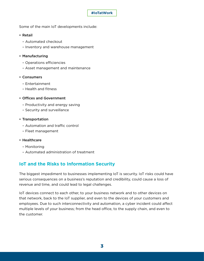

Some of the main IoT developments include:

## • Retail

- Automated checkout
- Inventory and warehouse management

## • Manufacturing

- Operations efficiencies
- Asset management and maintenance

## • Consumers

- Entertainment
- Health and fitness

## • Offices and Government

- Productivity and energy saving
- Security and surveillance

## • Transportation

- Automation and traffic control
- Fleet management

#### • Healthcare

- Monitoring
- Automated administration of treatment

# **IoT and the Risks to Information Security**

The biggest impediment to businesses implementing IoT is security. IoT risks could have serious consequences on a business's reputation and credibility, could cause a loss of revenue and time, and could lead to legal challenges.

IoT devices connect to each other, to your business network and to other devices on that network, back to the IoT supplier, and even to the devices of your customers and employees. Due to such interconnectivity and automation, a cyber incident could affect multiple levels of your business; from the head office, to the supply chain, and even to the customer.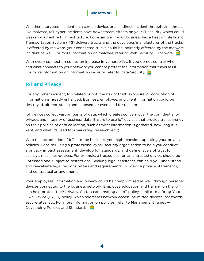Whether a targeted incident on a certain device, or an indirect incident through viral threats like malware, IoT cyber incidents have downstream effects on your IT security which could weaken your entire IT infrastructure. For example, if your business has a fleet of Intelligent Transportation System (ITS) delivery trucks and the developer/manufacturer of the trucks is affected by malware, your connected trucks could be indirectly affected by the malware incident as well. For more information on malware, refer to Web Security  $-$  Malware.  $\blacksquare$ 

With every connection comes an increase in vulnerability. If you do not control who and what connects to your network you cannot protect the information that traverses it. For more information on information security, refer to Data Security.  $\blacksquare$ 

## **IoT and Privacy**

For any cyber incident, IoT-related or not, the risk of theft, exposure, or corruption of information is greatly enhanced. Business, employee, and client information could be destroyed, altered, stolen and exposed, or even held for ransom.

IoT devices collect vast amounts of data, which creates concern over the confidentiality, privacy, and integrity of business data. Ensure to use IoT devices that provide transparency on their policies of data collection, such as what information is gathered, how long it is kept, and what it's used for (marketing research, etc.).

With the introduction of IoT into the business, you might consider updating your privacy policies. Consider using a professional cyber security organization to help you conduct a privacy impact assessment, develop IoT standards, and define levels of trust for users vs. machines/devices. For example, a trusted user on an untrusted device, should be untrusted and subject to restrictions. Seeking legal assistance can help you understand and reevaluate legal responsibilities and requirements, IoT device privacy statements, and contractual arrangements.

Your employees' information and privacy could be compromised as well, through personal devices connected to the business network. Employee education and training on the IoT can help protect their privacy. So too can creating an IoT policy, similar to a Bring Your Own Device (BYOD) policy, which addresses network access, permitted devices, passwords, secure sites, etc. For more information on policies, refer to Management Issues — Developing Policies and Standards.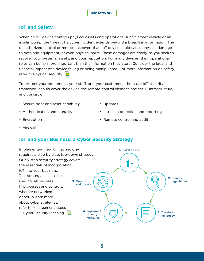

## **IoT and Safety**

When an IoT device controls physical assets and operations, such a smart vehicle or an insulin pump, the threat of a cyber incident extends beyond a breach in information. The unauthorized control or remote takeover of an IoT device could cause physical damage to data and equipment, or even physical harm. These damages are costly, as you seek to recover your systems, assets, and your reputation. For many devices, their operational roles can be far more important than the information they store. Consider the legal and financial impact of a device failing or being manipulated. For more information on safety, refer to Physical security.  $\Box$ 

To protect your equipment, your staff, and your customers, the basic IoT security framework should cover the device, the remote-control element, and the IT infrastructure, and consist of:

- Secure boot and reset capability
- Updates

- Authentication and integrity
- Encryption

• Remote control and audit

• Intrusion detection and reporting

• Firewall

## **IoT and your Business: a Cyber Security Strategy**

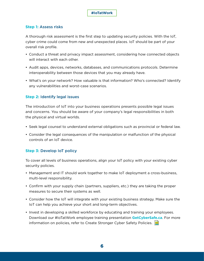#### **#IoTatWork**

## **Step 1:** Assess risks

A thorough risk assessment is the first step to updating security policies. With the IoT, cyber crime could come from new and unexpected places. IoT should be part of your overall risk profile.

- Conduct a threat and privacy impact assessment, considering how connected objects will interact with each other.
- Audit apps, devices, networks, databases, and communications protocols. Determine interoperability between those devices that you may already have.
- What's on your network? How valuable is that information? Who's connected? Identify any vulnerabilities and worst-case scenarios.

## **Step 2:** Identify legal issues

The introduction of IoT into your business operations presents possible legal issues and concerns. You should be aware of your company's legal responsibilities in both the physical and virtual worlds.

- Seek legal counsel to understand external obligations such as provincial or federal law.
- Consider the legal consequences of the manipulation or malfunction of the physical controls of an IoT device.

## **Step 3:** Develop IoT policy

To cover all levels of business operations, align your IoT policy with your existing cyber security policies.

- Management and IT should work together to make IoT deployment a cross-business, multi-level responsibility.
- Confirm with your supply chain (partners, suppliers, etc.) they are taking the proper measures to secure their systems as well.
- Consider how the IoT will integrate with your existing business strategy. Make sure the IoT can help you achieve your short and long-term objectives.
- Invest in developing a skilled workforce by educating and training your employees. Download our #IoTatWork employee training presentation **GetCyberSafe.ca**. For more information on policies, refer to Create Stronger Cyber Safety Policies.

6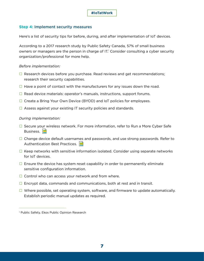#### **Step 4:** Implement security measures

Here's a list of security tips for before, during, and after implementation of IoT devices.

According to a 2017 research study by Public Safety Canada, 57% of small business owners or managers are the person in charge of IT.<sup>1</sup> Consider consulting a cyber security organization/professional for more help.

#### *Before implementation:*

- $\Box$  Research devices before you purchase. Read reviews and get recommendations; research their security capabilities.
- $\Box$  Have a point of contact with the manufacturers for any issues down the road.
- $\Box$  Read device materials: operator's manuals, instructions, support forums.
- $\Box$  Create a Bring Your Own Device (BYOD) and IoT policies for employees.
- $\Box$  Assess against your existing IT security policies and standards.

#### *During implementation:*

- $\Box$  Secure your wireless network. For more information, refer to Run a More Cyber Safe Business.
- $\Box$  Change device default usernames and passwords, and use strong passwords. Refer to Authentication Best Practices.
- $\Box$  Keep networks with sensitive information isolated. Consider using separate networks for IoT devices.
- $\Box$  Ensure the device has system reset capability in order to permanently eliminate sensitive configuration information.
- $\Box$  Control who can access your network and from where.
- $\Box$  Encrypt data, commands and communications, both at rest and in transit.
- $\Box$  Where possible, set operating system, software, and firmware to update automatically. Establish periodic manual updates as required.

<sup>1</sup> Public Safety, Ekos Public Opinion Research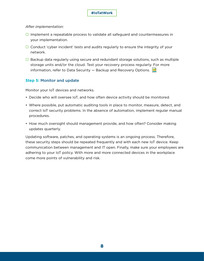## **#IoTatWork**

#### *After implementation:*

- $\Box$  Implement a repeatable process to validate all safeguard and countermeasures in your implementation.
- $\Box$  Conduct 'cyber incident' tests and audits regularly to ensure the integrity of your network.
- $\Box$  Backup data regularly using secure and redundant storage solutions, such as multiple storage units and/or the cloud. Test your recovery process regularly. For more information, refer to Data Security  $-$  Backup and Recovery Options.

## **Step 5:** Monitor and update

Monitor your IoT devices and networks.

- Decide who will oversee IoT, and how often device activity should be monitored.
- Where possible, put automatic auditing tools in place to monitor, measure, detect, and correct IoT security problems. In the absence of automation, implement regular manual procedures.
- How much oversight should management provide, and how often? Consider making updates quarterly.

Updating software, patches, and operating systems is an ongoing process. Therefore, these security steps should be repeated frequently and with each new IoT device. Keep communication between management and IT open. Finally, make sure your employees are adhering to your IoT policy. With more and more connected devices in the workplace come more points of vulnerability and risk.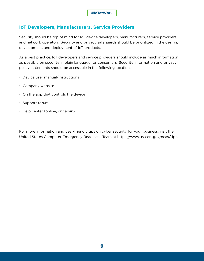## **IoT Developers, Manufacturers, Service Providers**

Security should be top of mind for IoT device developers, manufacturers, service providers, and network operators. Security and privacy safeguards should be prioritized in the design, development, and deployment of IoT products.

As a best practice, IoT developers and service providers should include as much information as possible on security in plain language for consumers. Security information and privacy policy statements should be accessible in the following locations:

- Device user manual/instructions
- Company website
- On the app that controls the device
- Support forum
- Help center (online, or call-in)

For more information and user-friendly tips on cyber security for your business, visit the United States Computer Emergency Readiness Team at https://www.us-cert.gov/ncas/tips.